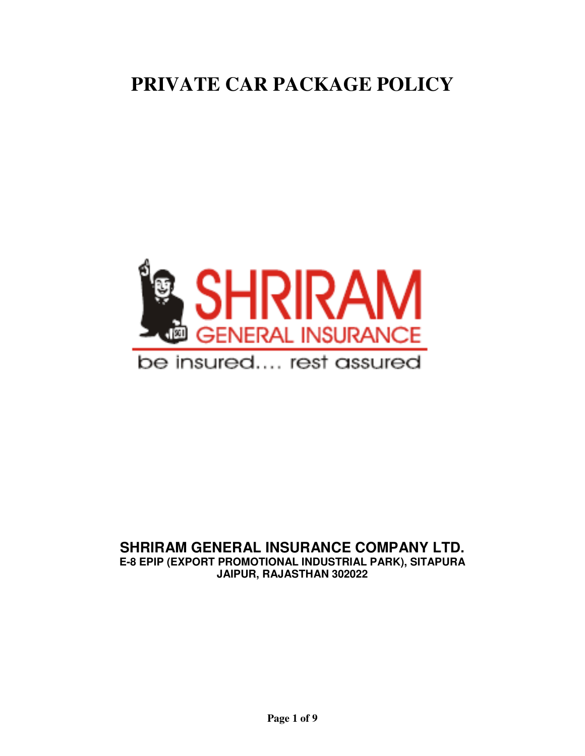# **PRIVATE CAR PACKAGE POLICY**



# **SHRIRAM GENERAL INSURANCE COMPANY LTD.**

**E-8 EPIP (EXPORT PROMOTIONAL INDUSTRIAL PARK), SITAPURA JAIPUR, RAJASTHAN 302022**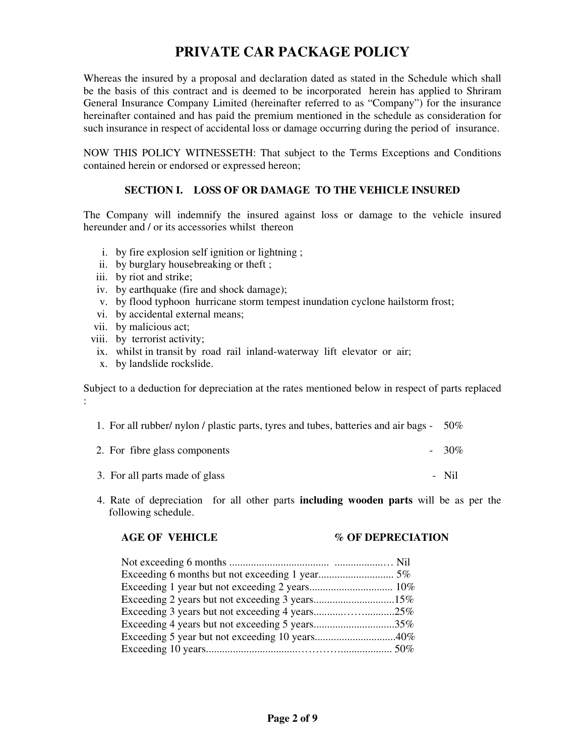# **PRIVATE CAR PACKAGE POLICY**

Whereas the insured by a proposal and declaration dated as stated in the Schedule which shall be the basis of this contract and is deemed to be incorporated herein has applied to Shriram General Insurance Company Limited (hereinafter referred to as "Company") for the insurance hereinafter contained and has paid the premium mentioned in the schedule as consideration for such insurance in respect of accidental loss or damage occurring during the period of insurance.

NOW THIS POLICY WITNESSETH: That subject to the Terms Exceptions and Conditions contained herein or endorsed or expressed hereon;

# **SECTION I. LOSS OF OR DAMAGE TO THE VEHICLE INSURED**

The Company will indemnify the insured against loss or damage to the vehicle insured hereunder and / or its accessories whilst thereon

- i. by fire explosion self ignition or lightning ;
- ii. by burglary housebreaking or theft ;
- iii. by riot and strike;
- iv. by earthquake (fire and shock damage);
- v. by flood typhoon hurricane storm tempest inundation cyclone hailstorm frost;
- vi. by accidental external means;
- vii. by malicious act;
- viii. by terrorist activity;
- ix. whilst in transit by road rail inland-waterway lift elevator or air;
- x. by landslide rockslide.

Subject to a deduction for depreciation at the rates mentioned below in respect of parts replaced :

| 1. For all rubber / nylon / plastic parts, tyres and tubes, batteries and air bags - | 50%     |
|--------------------------------------------------------------------------------------|---------|
| 2. For fibre glass components                                                        | $-30\%$ |
| 3. For all parts made of glass                                                       | - Nil   |

 4. Rate of depreciation for all other parts **including wooden parts** will be as per the following schedule.

#### **AGE OF VEHICLE % OF DEPRECIATION**

| Exceeding 2 years but not exceeding 3 years15% |  |
|------------------------------------------------|--|
|                                                |  |
| Exceeding 4 years but not exceeding 5 years35% |  |
| Exceeding 5 year but not exceeding 10 years40% |  |
|                                                |  |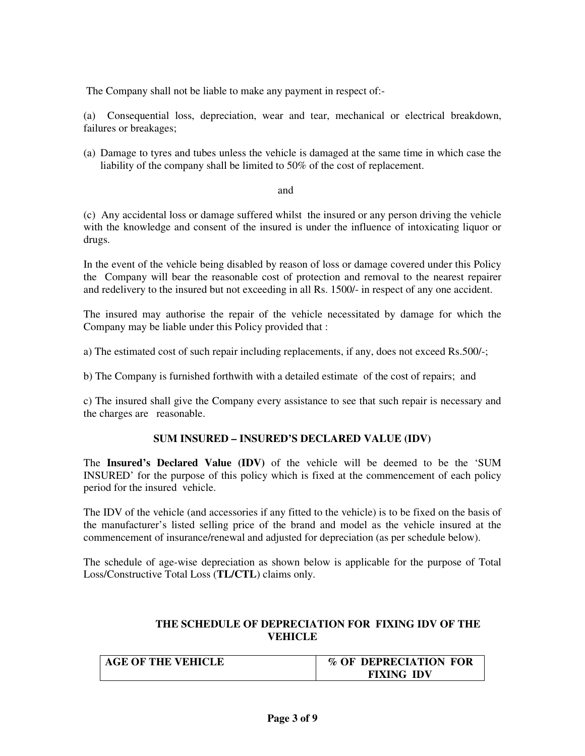The Company shall not be liable to make any payment in respect of:-

(a) Consequential loss, depreciation, wear and tear, mechanical or electrical breakdown, failures or breakages;

(a) Damage to tyres and tubes unless the vehicle is damaged at the same time in which case the liability of the company shall be limited to 50% of the cost of replacement.

#### and

(c) Any accidental loss or damage suffered whilst the insured or any person driving the vehicle with the knowledge and consent of the insured is under the influence of intoxicating liquor or drugs.

In the event of the vehicle being disabled by reason of loss or damage covered under this Policy the Company will bear the reasonable cost of protection and removal to the nearest repairer and redelivery to the insured but not exceeding in all Rs. 1500/- in respect of any one accident.

The insured may authorise the repair of the vehicle necessitated by damage for which the Company may be liable under this Policy provided that :

a) The estimated cost of such repair including replacements, if any, does not exceed Rs.500/-;

b) The Company is furnished forthwith with a detailed estimate of the cost of repairs; and

c) The insured shall give the Company every assistance to see that such repair is necessary and the charges are reasonable.

# **SUM INSURED – INSURED'S DECLARED VALUE (IDV)**

The **Insured's Declared Value (IDV)** of the vehicle will be deemed to be the 'SUM INSURED' for the purpose of this policy which is fixed at the commencement of each policy period for the insured vehicle.

The IDV of the vehicle (and accessories if any fitted to the vehicle) is to be fixed on the basis of the manufacturer's listed selling price of the brand and model as the vehicle insured at the commencement of insurance/renewal and adjusted for depreciation (as per schedule below).

The schedule of age-wise depreciation as shown below is applicable for the purpose of Total Loss/Constructive Total Loss (**TL/CTL**) claims only.

# **THE SCHEDULE OF DEPRECIATION FOR FIXING IDV OF THE VEHICLE**

| <b>AGE OF THE VEHICLE</b> | % OF DEPRECIATION FOR |
|---------------------------|-----------------------|
|                           | <b>FIXING IDV</b>     |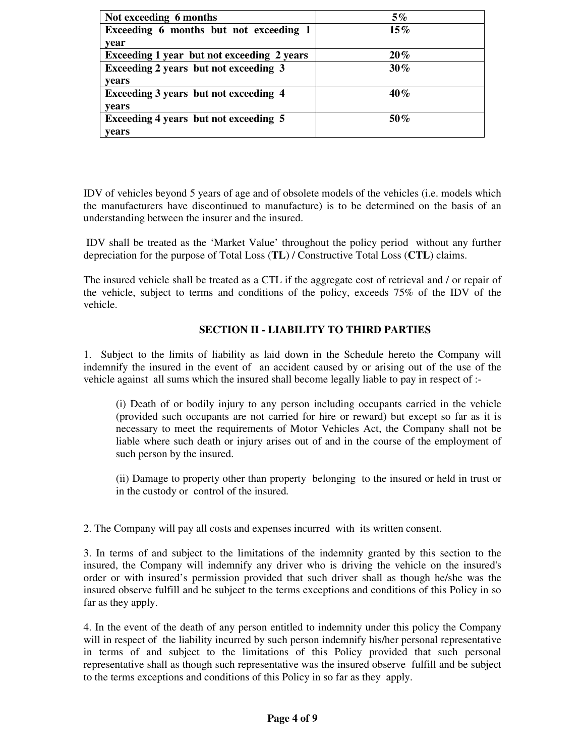| Not exceeding 6 months                     | $5\%$  |
|--------------------------------------------|--------|
| Exceeding 6 months but not exceeding 1     | $15\%$ |
| year                                       |        |
| Exceeding 1 year but not exceeding 2 years | $20\%$ |
| Exceeding 2 years but not exceeding 3      | $30\%$ |
| vears                                      |        |
| Exceeding 3 years but not exceeding 4      | $40\%$ |
| years                                      |        |
| Exceeding 4 years but not exceeding 5      | 50%    |
| years                                      |        |

IDV of vehicles beyond 5 years of age and of obsolete models of the vehicles (i.e. models which the manufacturers have discontinued to manufacture) is to be determined on the basis of an understanding between the insurer and the insured.

 IDV shall be treated as the 'Market Value' throughout the policy period without any further depreciation for the purpose of Total Loss (**TL**) / Constructive Total Loss (**CTL**) claims.

The insured vehicle shall be treated as a CTL if the aggregate cost of retrieval and / or repair of the vehicle, subject to terms and conditions of the policy, exceeds 75% of the IDV of the vehicle.

# **SECTION II - LIABILITY TO THIRD PARTIES**

1. Subject to the limits of liability as laid down in the Schedule hereto the Company will indemnify the insured in the event of an accident caused by or arising out of the use of the vehicle against all sums which the insured shall become legally liable to pay in respect of :-

(i) Death of or bodily injury to any person including occupants carried in the vehicle (provided such occupants are not carried for hire or reward) but except so far as it is necessary to meet the requirements of Motor Vehicles Act, the Company shall not be liable where such death or injury arises out of and in the course of the employment of such person by the insured.

(ii) Damage to property other than property belonging to the insured or held in trust or in the custody or control of the insured*.* 

2. The Company will pay all costs and expenses incurred with its written consent.

3. In terms of and subject to the limitations of the indemnity granted by this section to the insured, the Company will indemnify any driver who is driving the vehicle on the insured's order or with insured's permission provided that such driver shall as though he/she was the insured observe fulfill and be subject to the terms exceptions and conditions of this Policy in so far as they apply.

4. In the event of the death of any person entitled to indemnity under this policy the Company will in respect of the liability incurred by such person indemnify his/her personal representative in terms of and subject to the limitations of this Policy provided that such personal representative shall as though such representative was the insured observe fulfill and be subject to the terms exceptions and conditions of this Policy in so far as they apply.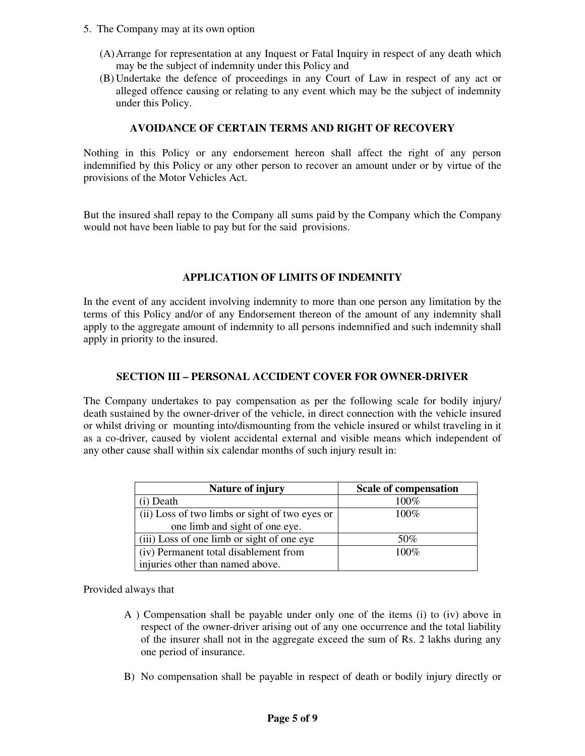- 5. The Company may at its own option
	- (A)Arrange for representation at any Inquest or Fatal Inquiry in respect of any death which may be the subject of indemnity under this Policy and
	- (B) Undertake the defence of proceedings in any Court of Law in respect of any act or alleged offence causing or relating to any event which may be the subject of indemnity under this Policy.

#### **AVOIDANCE OF CERTAIN TERMS AND RIGHT OF RECOVERY**

Nothing in this Policy or any endorsement hereon shall affect the right of any person indemnified by this Policy or any other person to recover an amount under or by virtue of the provisions of the Motor Vehicles Act.

But the insured shall repay to the Company all sums paid by the Company which the Company would not have been liable to pay but for the said provisions.

#### **APPLICATION OF LIMITS OF INDEMNITY**

In the event of any accident involving indemnity to more than one person any limitation by the terms of this Policy and/or of any Endorsement thereon of the amount of any indemnity shall apply to the aggregate amount of indemnity to all persons indemnified and such indemnity shall apply in priority to the insured.

#### **SECTION III – PERSONAL ACCIDENT COVER FOR OWNER-DRIVER**

The Company undertakes to pay compensation as per the following scale for bodily injury/ death sustained by the owner-driver of the vehicle, in direct connection with the vehicle insured or whilst driving or mounting into/dismounting from the vehicle insured or whilst traveling in it as a co-driver, caused by violent accidental external and visible means which independent of any other cause shall within six calendar months of such injury result in:

| Nature of injury                               | <b>Scale of compensation</b> |
|------------------------------------------------|------------------------------|
| (i) Death                                      | 100%                         |
| (ii) Loss of two limbs or sight of two eyes or | $100\%$                      |
| one limb and sight of one eye.                 |                              |
| (iii) Loss of one limb or sight of one eye     | 50%                          |
| (iv) Permanent total disablement from          | $100\%$                      |
| injuries other than named above.               |                              |

Provided always that

- A ) Compensation shall be payable under only one of the items (i) to (iv) above in respect of the owner-driver arising out of any one occurrence and the total liability of the insurer shall not in the aggregate exceed the sum of Rs. 2 lakhs during any one period of insurance.
- B) No compensation shall be payable in respect of death or bodily injury directly or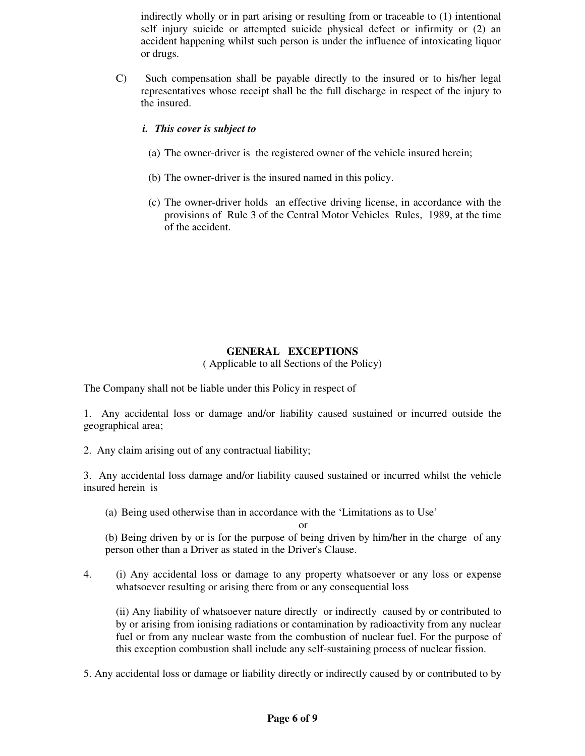indirectly wholly or in part arising or resulting from or traceable to (1) intentional self injury suicide or attempted suicide physical defect or infirmity or (2) an accident happening whilst such person is under the influence of intoxicating liquor or drugs.

C) Such compensation shall be payable directly to the insured or to his/her legal representatives whose receipt shall be the full discharge in respect of the injury to the insured.

#### *i. This cover is subject to*

- (a) The owner-driver is the registered owner of the vehicle insured herein;
- (b) The owner-driver is the insured named in this policy.
- (c) The owner-driver holds an effective driving license, in accordance with the provisions of Rule 3 of the Central Motor Vehicles Rules, 1989, at the time of the accident.

# **GENERAL EXCEPTIONS**

( Applicable to all Sections of the Policy)

The Company shall not be liable under this Policy in respect of

1. Any accidental loss or damage and/or liability caused sustained or incurred outside the geographical area;

2. Any claim arising out of any contractual liability;

3. Any accidental loss damage and/or liability caused sustained or incurred whilst the vehicle insured herein is

(a) Being used otherwise than in accordance with the 'Limitations as to Use'

(b) Being driven by or is for the purpose of being driven by him/her in the charge of any person other than a Driver as stated in the Driver's Clause.

or

4. (i) Any accidental loss or damage to any property whatsoever or any loss or expense whatsoever resulting or arising there from or any consequential loss

(ii) Any liability of whatsoever nature directly or indirectly caused by or contributed to by or arising from ionising radiations or contamination by radioactivity from any nuclear fuel or from any nuclear waste from the combustion of nuclear fuel. For the purpose of this exception combustion shall include any self-sustaining process of nuclear fission.

5. Any accidental loss or damage or liability directly or indirectly caused by or contributed to by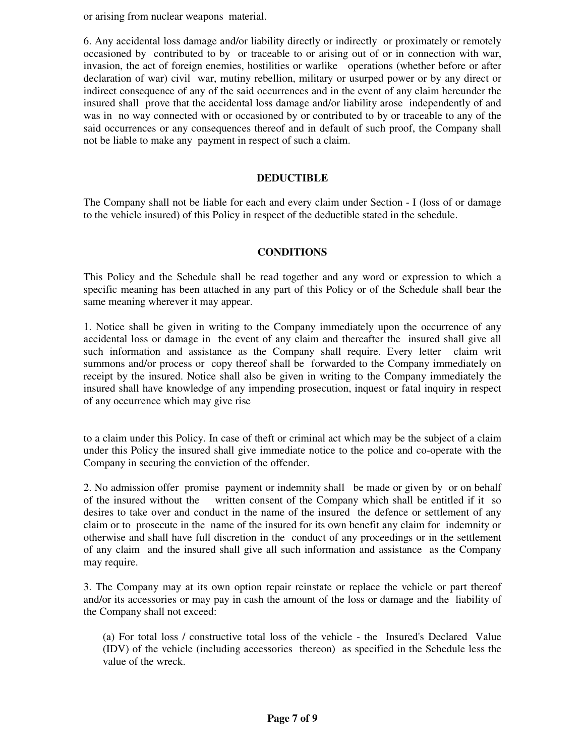or arising from nuclear weapons material.

6. Any accidental loss damage and/or liability directly or indirectly or proximately or remotely occasioned by contributed to by or traceable to or arising out of or in connection with war, invasion, the act of foreign enemies, hostilities or warlike operations (whether before or after declaration of war) civil war, mutiny rebellion, military or usurped power or by any direct or indirect consequence of any of the said occurrences and in the event of any claim hereunder the insured shall prove that the accidental loss damage and/or liability arose independently of and was in no way connected with or occasioned by or contributed to by or traceable to any of the said occurrences or any consequences thereof and in default of such proof, the Company shall not be liable to make any payment in respect of such a claim.

#### **DEDUCTIBLE**

The Company shall not be liable for each and every claim under Section - I (loss of or damage to the vehicle insured) of this Policy in respect of the deductible stated in the schedule.

#### **CONDITIONS**

This Policy and the Schedule shall be read together and any word or expression to which a specific meaning has been attached in any part of this Policy or of the Schedule shall bear the same meaning wherever it may appear.

1. Notice shall be given in writing to the Company immediately upon the occurrence of any accidental loss or damage in the event of any claim and thereafter the insured shall give all such information and assistance as the Company shall require. Every letter claim writ summons and/or process or copy thereof shall be forwarded to the Company immediately on receipt by the insured. Notice shall also be given in writing to the Company immediately the insured shall have knowledge of any impending prosecution, inquest or fatal inquiry in respect of any occurrence which may give rise

to a claim under this Policy. In case of theft or criminal act which may be the subject of a claim under this Policy the insured shall give immediate notice to the police and co-operate with the Company in securing the conviction of the offender.

2. No admission offer promise payment or indemnity shall be made or given by or on behalf of the insured without the written consent of the Company which shall be entitled if it so desires to take over and conduct in the name of the insured the defence or settlement of any claim or to prosecute in the name of the insured for its own benefit any claim for indemnity or otherwise and shall have full discretion in the conduct of any proceedings or in the settlement of any claim and the insured shall give all such information and assistance as the Company may require.

3. The Company may at its own option repair reinstate or replace the vehicle or part thereof and/or its accessories or may pay in cash the amount of the loss or damage and the liability of the Company shall not exceed:

(a) For total loss / constructive total loss of the vehicle - the Insured's Declared Value (IDV) of the vehicle (including accessories thereon) as specified in the Schedule less the value of the wreck.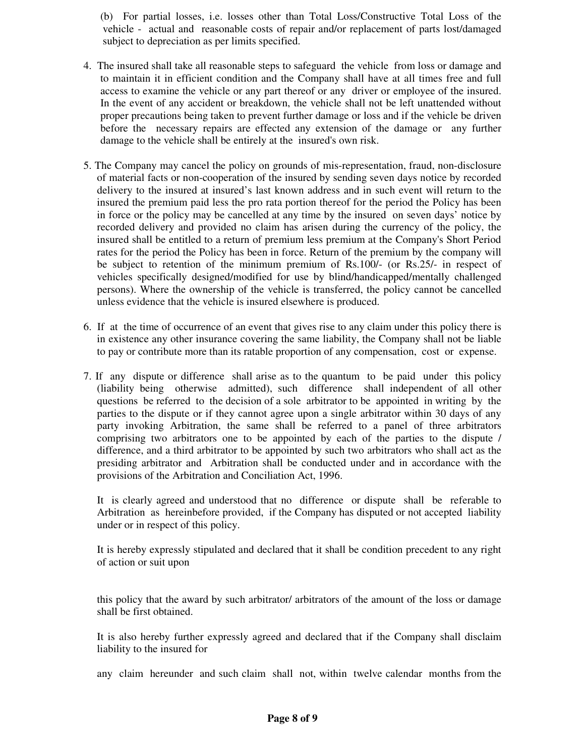(b) For partial losses, i.e. losses other than Total Loss/Constructive Total Loss of the vehicle - actual and reasonable costs of repair and/or replacement of parts lost/damaged subject to depreciation as per limits specified.

- 4. The insured shall take all reasonable steps to safeguard the vehicle from loss or damage and to maintain it in efficient condition and the Company shall have at all times free and full access to examine the vehicle or any part thereof or any driver or employee of the insured. In the event of any accident or breakdown, the vehicle shall not be left unattended without proper precautions being taken to prevent further damage or loss and if the vehicle be driven before the necessary repairs are effected any extension of the damage or any further damage to the vehicle shall be entirely at the insured's own risk.
- 5. The Company may cancel the policy on grounds of mis-representation, fraud, non-disclosure of material facts or non-cooperation of the insured by sending seven days notice by recorded delivery to the insured at insured's last known address and in such event will return to the insured the premium paid less the pro rata portion thereof for the period the Policy has been in force or the policy may be cancelled at any time by the insured on seven days' notice by recorded delivery and provided no claim has arisen during the currency of the policy, the insured shall be entitled to a return of premium less premium at the Company's Short Period rates for the period the Policy has been in force. Return of the premium by the company will be subject to retention of the minimum premium of Rs.100/- (or Rs.25/- in respect of vehicles specifically designed/modified for use by blind/handicapped/mentally challenged persons). Where the ownership of the vehicle is transferred, the policy cannot be cancelled unless evidence that the vehicle is insured elsewhere is produced.
- 6. If at the time of occurrence of an event that gives rise to any claim under this policy there is in existence any other insurance covering the same liability, the Company shall not be liable to pay or contribute more than its ratable proportion of any compensation, cost or expense.
- 7. If any dispute or difference shall arise as to the quantum to be paid under this policy (liability being otherwise admitted), such difference shall independent of all other questions be referred to the decision of a sole arbitrator to be appointed in writing by the parties to the dispute or if they cannot agree upon a single arbitrator within 30 days of any party invoking Arbitration, the same shall be referred to a panel of three arbitrators comprising two arbitrators one to be appointed by each of the parties to the dispute / difference, and a third arbitrator to be appointed by such two arbitrators who shall act as the presiding arbitrator and Arbitration shall be conducted under and in accordance with the provisions of the Arbitration and Conciliation Act, 1996.

It is clearly agreed and understood that no difference or dispute shall be referable to Arbitration as hereinbefore provided, if the Company has disputed or not accepted liability under or in respect of this policy.

It is hereby expressly stipulated and declared that it shall be condition precedent to any right of action or suit upon

this policy that the award by such arbitrator/ arbitrators of the amount of the loss or damage shall be first obtained.

It is also hereby further expressly agreed and declared that if the Company shall disclaim liability to the insured for

any claim hereunder and such claim shall not, within twelve calendar months from the